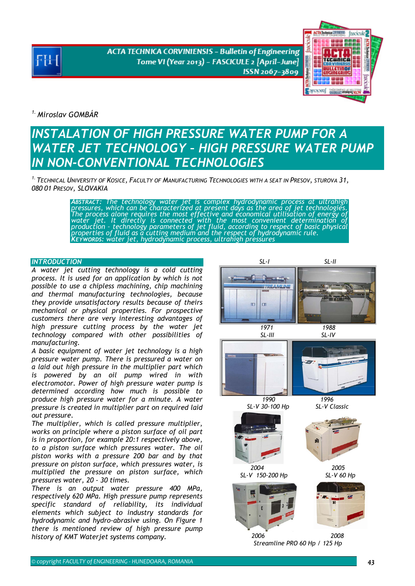**ACTA TECHNICA CORVINIENSIS - Bulletin of Engineering** Tome VI (Year 2013) - FASCICULE 2 [April-June] ISSN 2067-3809



*1. Miroslav GOMBÁR* 

# *INSTALATION OF HIGH PRESSURE WATER PUMP FOR A WATER JET TECHNOLOGY – HIGH PRESSURE WATER PUMP IN NON-CONVENTIONAL TECHNOLOGIES*

*1. TECHNICAL UNIVERSITY OF KOSICE, FACULTY OF MANUFACTURING TECHNOLOGIES WITH A SEAT IN PRESOV, STUROVA 31, 080 01 PRESOV, SLOVAKIA* 

ABSTRACT: The technology water jet is complex hydrodynamic process at ultrahigh<br>pressures, which can be characterized at present days as the area of jet technologies.<br>The process alone requires the most effective and econo

### **INTRODUCTION**

*A water jet cutting technology is a cold cutting process. It is used for an application by which is not possible to use a chipless machining, chip machining and thermal manufacturing technologies, because they provide unsatisfactory results because of theirs mechanical or physical properties. For prospective customers there are very interesting advantages of high pressure cutting process by the water jet technology compared with other possibilities of manufacturing.* 

*A basic equipment of water jet technology is a high pressure water pump. There is pressured a water on a laid out high pressure in the multiplier part which is powered by an oil pump wired in with electromotor. Power of high pressure water pump is determined according how much is possible to produce high pressure water for a minute. A water pressure is created in multiplier part on required laid out pressure.* 

*The multiplier, which is called pressure multiplier, works on principle where a piston surface of oil part is in proportion, for example 20:1 respectively above, to a piston surface which pressures water. The oil piston works with a pressure 200 bar and by that pressure on piston surface, which pressures water, is multiplied the pressure on piston surface, which pressures water, 20 - 30 times.* 

*There is an output water pressure 400 MPa, respectively 620 MPa. High pressure pump represents specific standard of reliability, its individual elements which subject to industry standards for hydrodynamic and hydro-abrasive using. On Figure 1 there is mentioned review of high pressure pump history of KMT Waterjet systems company.* 

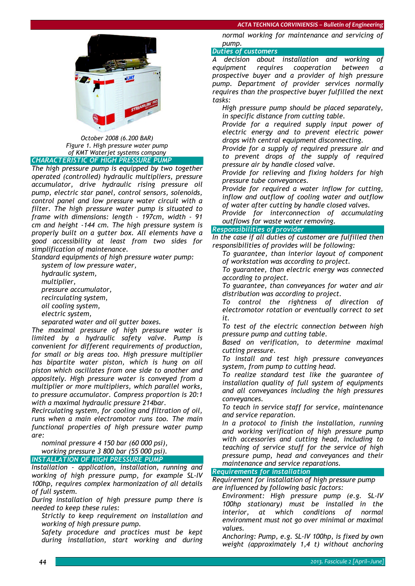#### *ACTA TECHNICA CORVINIENSIS – Bulletin of Engineering*



*October 2008 (6.200 BAR) Figure 1. High pressure water pump of KMT Waterjet systems company CHARACTERISTIC OF HIGH PRESSURE PUMP*

*The high pressure pump is equipped by two together operated (controlled) hydraulic multipliers, pressure accumulator, drive hydraulic rising pressure oil pump, electric star panel, control sensors, solenoids, control panel and low pressure water circuit with a filter. The high pressure water pump is situated to frame with dimensions: length - 197cm, width - 91 cm and height -144 cm. The high pressure system is properly built on a gutter box. All elements have a good accessibility at least from two sides for simplification of maintenance.* 

*Standard equipments of high pressure water pump:* 

 *system of low pressure water, hydraulic system, multiplier, pressure accumulator, recirculating system, oil cooling system, electric system,* 

*separated water and oil gutter boxes.* 

*The maximal pressure of high pressure water is limited by a hydraulic safety valve. Pump is convenient for different requirements of production, for small or big areas too. High pressure multiplier has bipartite water piston, which is hung on oil piston which oscillates from one side to another and oppositely. High pressure water is conveyed from a multiplier or more multipliers, which parallel works, to pressure accumulator. Compress proportion is 20:1 with a maximal hydraulic pressure 214bar.* 

*Recirculating system, for cooling and filtration of oil, runs when a main electromotor runs too. The main functional properties of high pressure water pump are:* 

*nominal pressure 4 150 bar (60 000 psi),* 

 *working pressure 3 800 bar (55 000 psi). INSTALLATION OF HIGH PRESSURE PUMP*

*Installation - application, installation, running and working of high pressure pump, for example SL-IV 100hp, requires complex harmonization of all details of full system.* 

*During installation of high pressure pump there is needed to keep these rules:* 

 *Strictly to keep requirement on installation and working of high pressure pump.* 

 *Safety procedure and practices must be kept during installation, start working and during* 

*normal working for maintenance and servicing of pump.* 

## *Duties of customers*

*A decision about installation and working of equipment requires cooperation between a prospective buyer and a provider of high pressure pump. Department of provider services normally requires than the prospective buyer fulfilled the next tasks:* 

 *High pressure pump should be placed separately, in specific distance from cutting table.* 

 *Provide for a required supply input power of electric energy and to prevent electric power drops with central equipment disconnecting.* 

 *Provide for a supply of required pressure air and to prevent drops of the supply of required pressure air by handle closed valve.* 

 *Provide for relieving and fixing holders for high pressure tube conveyances.* 

 *Provide for required a water inflow for cutting, inflow and outflow of cooling water and outflow of water after cutting by handle closed valves.* 

 *Provide for interconnection of accumulating outflows for waste water removing.* 

# *Responsibilities of provider*

*In the case if all duties of customer are fulfilled then responsibilities of provides will be following:* 

 *To guarantee, than interior layout of component of workstation was according to project.* 

 *To guarantee, than electric energy was connected according to project.* 

 *To guarantee, than conveyances for water and air distribution was according to project.* 

 *To control the rightness of direction of electromotor rotation or eventually correct to set it.* 

 *To test of the electric connection between high pressure pump and cutting table.* 

 *Based on verification, to determine maximal cutting pressure.* 

 *To install and test high pressure conveyances system, from pump to cutting head.* 

 *To realize standard test like the guarantee of installation quality of full system of equipments and all conveyances including the high pressures conveyances.* 

 *To teach in service staff for service, maintenance and service reparation.* 

 *In a protocol to finish the installation, running and working verification of high pressure pump with accessories and cutting head, including to teaching of service stuff for the service of high pressure pump, head and conveyances and their maintenance and service reparations.* 

# *Requirements for installation*

*Requirement for installation of high pressure pump are influenced by following basic factors:* 

 *Environment: High pressure pump (e.g. SL-IV 100hp stationary) must be installed in the interior, at which conditions of normal environment must not go over minimal or maximal values.* 

 *Anchoring: Pump, e.g. SL-IV 100hp, is fixed by own weight (approximately 1,4 t) without anchoring*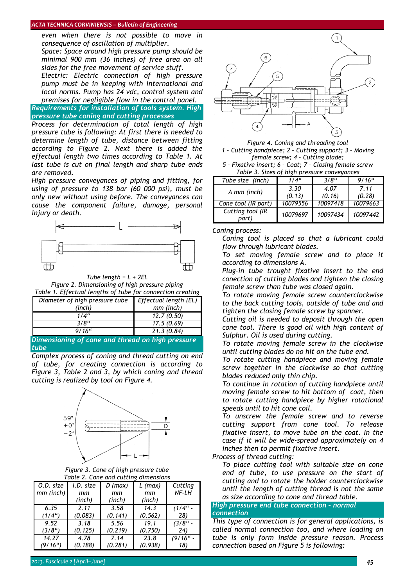#### *ACTA TECHNICA CORVINIENSIS – Bulletin of Engineering*

*even when there is not possible to move in consequence of oscillation of multiplier. Space: Space around high pressure pump should be* 

*minimal 900 mm (36 inches) of free area on all sides for the free movement of service stuff.* 

 *Electric: Electric connection of high pressure pump must be in keeping with international and local norms. Pump has 24 vdc, control system and premises for negligible flow in the control panel.* 

*Requirements for installation of tools system. High pressure tube coning and cutting processes*

*Process for determination of total length of high pressure tube is following: At first there is needed to determine length of tube, distance between fitting according to Figure 2. Next there is added the effectual length two times according to Table 1. At last tube is cut on final length and sharp tube ends are removed.* 

*High pressure conveyances of piping and fitting, for using of pressure to 138 bar (60 000 psi), must be only new without using before. The conveyances can cause the component failure, damage, personal injury or death.* 



*Tube length = L + 2EL Figure 2. Dimensioning of high pressure piping Table 1. Effectual lengths of tube for connectional* 

| Table 1. Lifectual lengths of tabe for connection creating |                              |  |  |  |
|------------------------------------------------------------|------------------------------|--|--|--|
| Diameter of high pressure tube                             | <b>Effectual length (EL)</b> |  |  |  |
| (inch)                                                     | mm (inch)                    |  |  |  |
| 1/4"                                                       | 12.7(0.50)                   |  |  |  |
| $3/8$ "                                                    | 17.5(0.69)                   |  |  |  |
| $9/16$ "                                                   | 21.3(0.84)                   |  |  |  |

*Dimensioning of cone and thread on high pressure tube* 

*Complex process of coning and thread cutting on end of tube, for creating connection is according to Figure 3, Table 2 and 3, by which coning and thread cutting is realized by tool on Figure 4.* 



*Figure 3. Cone of high pressure tube Table 2. Cone and cutting dimensions* 

| O.D. size           | I.D. size | D (max) | $L$ (max) | Cutting     |
|---------------------|-----------|---------|-----------|-------------|
| $mm$ (inch)         | mm        | mm      | mm        | NF-LH       |
|                     | (inch)    | (inch)  | (inch)    |             |
| 6.35                | 2.11      | 3.58    | 14.3      | $(1/4"$ -   |
| (1/4 <sup>u</sup> ) | (0.083)   | (0.141) | (0.562)   | 28)         |
| 9.52                | 3.18      | 5.56    | 19.1      | $(3/8)$ " - |
| (3/8 <sup>u</sup> ) | (0.125)   | (0.219) | (0.750)   | 24)         |
| 14.27               | 4.78      | 7.14    | 23.8      | $(9/16$ " - |
| (9/16")             | (0.188)   | (0.281) | (0.938)   | 18)         |



*Figure 4. Coning and threading tool 1 – Cutting handpiece; 2 – Cutting support; 3 – Moving female screw; 4 – Cutting blade; 5 – Fixative insert; 6 – Coat; 7 – Closing female screw* 

*Table 3. Sizes of high pressure conveyances* 

| Tube size (inch)          | 1/4"     | $3/8$ "  | $9/16$ " |
|---------------------------|----------|----------|----------|
| A mm (inch)               | 3.30     | 4.07     | 7.11     |
|                           | (0.13)   | (0.16)   | (0.28)   |
| Cone tool (IR part)       | 10079556 | 10097418 | 10079663 |
| Cutting tool (IR<br>part) | 10079697 | 10097434 | 10097442 |

*Coning process:* 

 *Coning tool is placed so that a lubricant could flow through lubricant blades.* 

 *To set moving female screw and to place it according to dimensions A.* 

 *Plug-in tube trought fixative insert to the end conection of cutting blades and tighten the closing female screw than tube was closed again.* 

 *To rotate moving female screw counterclockwise to the back cutting tools, outside of tube and and tighten the closing female screw by spanner.* 

 *Cutting oil is needed to deposit through the open cone tool. There is good oil with high content of Sulphur. Oil is used during cutting.* 

 *To rotate moving female screw in the clockwise until cutting blades do no hit on the tube end.* 

 *To rotate cutting handpiece and moving female screw together in the clockwise so that cutting blades reduced only thin chip.* 

 *To continue in rotation of cutting handpiece until moving female screw to hit bottom of coat, then to rotate cutting handpiece by higher rotational speeds until to hit cone coil.* 

 *To unscrew the female screw and to reverse cutting support from cone tool. To release fixative insert, to move tube on the coat. In the case if it will be wide-spread approximately on 4 inches then to permit fixative insert.* 

*Process of thread cutting:* 

 *To place cutting tool with suitable size on cone end of tube, to use pressure on the start of cutting and to rotate the holder counterclockwise until the length of cutting thread is not the same as size according to cone and thread table.* 

#### *High pressure end tube connection – normal connection*

*This type of connection is for general applications, is called normal connection too, and where loading on tube is only form inside pressure reason. Process connection based on Figure 5 is following:*